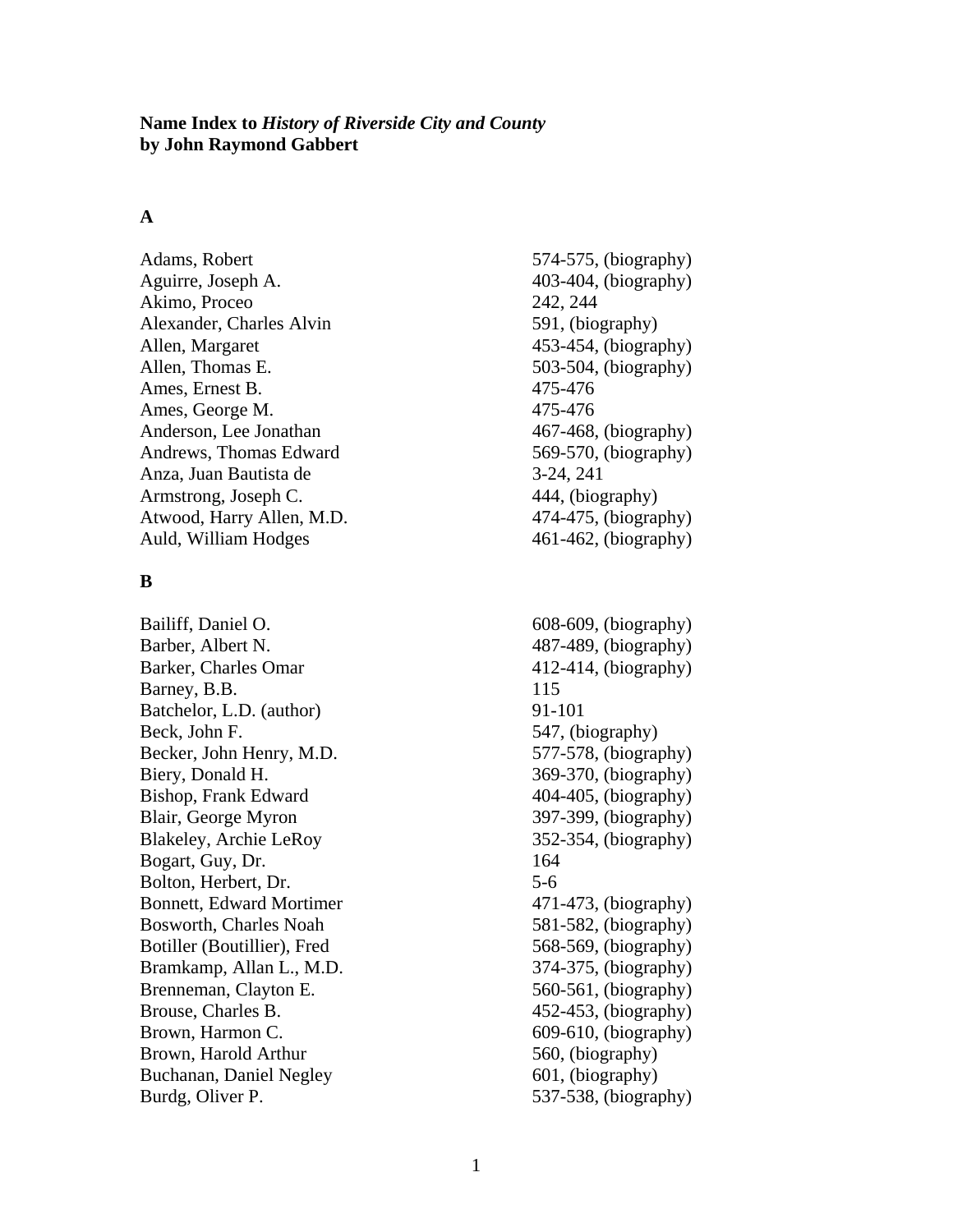#### **Name Index to** *History of Riverside City and County* **by John Raymond Gabbert**

# **A**

Adams, Robert 574-575, (biography) Aguirre, Joseph A. 403-404, (biography) Akimo, Proceo 242, 244 Alexander, Charles Alvin 591, (biography) Allen, Margaret 453-454, (biography) Allen, Thomas E. 503-504, (biography) Ames, Ernest B. 475-476 Ames, George M. 475-476 Anderson, Lee Jonathan 467-468, (biography) Andrews, Thomas Edward 569-570, (biography) Anza, Juan Bautista de 3-24, 241 Armstrong, Joseph C. 444, (biography) Atwood, Harry Allen, M.D. 474-475, (biography) Auld, William Hodges 461-462, (biography)

#### **B**

Bailiff, Daniel O. 608-609, (biography) Barber, Albert N. 487-489, (biography) Barker, Charles Omar 412-414, (biography) Barney, B.B. 115 Batchelor, L.D. (author) 91-101 Beck, John F. 547, (biography) Becker, John Henry, M.D. 577-578, (biography) Biery, Donald H. 369-370, (biography) Bishop, Frank Edward 404-405, (biography) Blair, George Myron 397-399, (biography) Blakeley, Archie LeRoy 352-354, (biography) Bogart, Guy, Dr. 164 Bolton, Herbert, Dr. 5-6 Bonnett, Edward Mortimer 471-473, (biography) Bosworth, Charles Noah 581-582, (biography) Botiller (Boutillier), Fred 568-569, (biography) Bramkamp, Allan L., M.D. 374-375, (biography) Brenneman, Clayton E. 560-561, (biography) Brouse, Charles B. 452-453, (biography) Brown, Harmon C. 609-610, (biography) Brown, Harold Arthur 560, (biography) Buchanan, Daniel Negley 601, (biography) Burdg, Oliver P. 537-538, (biography)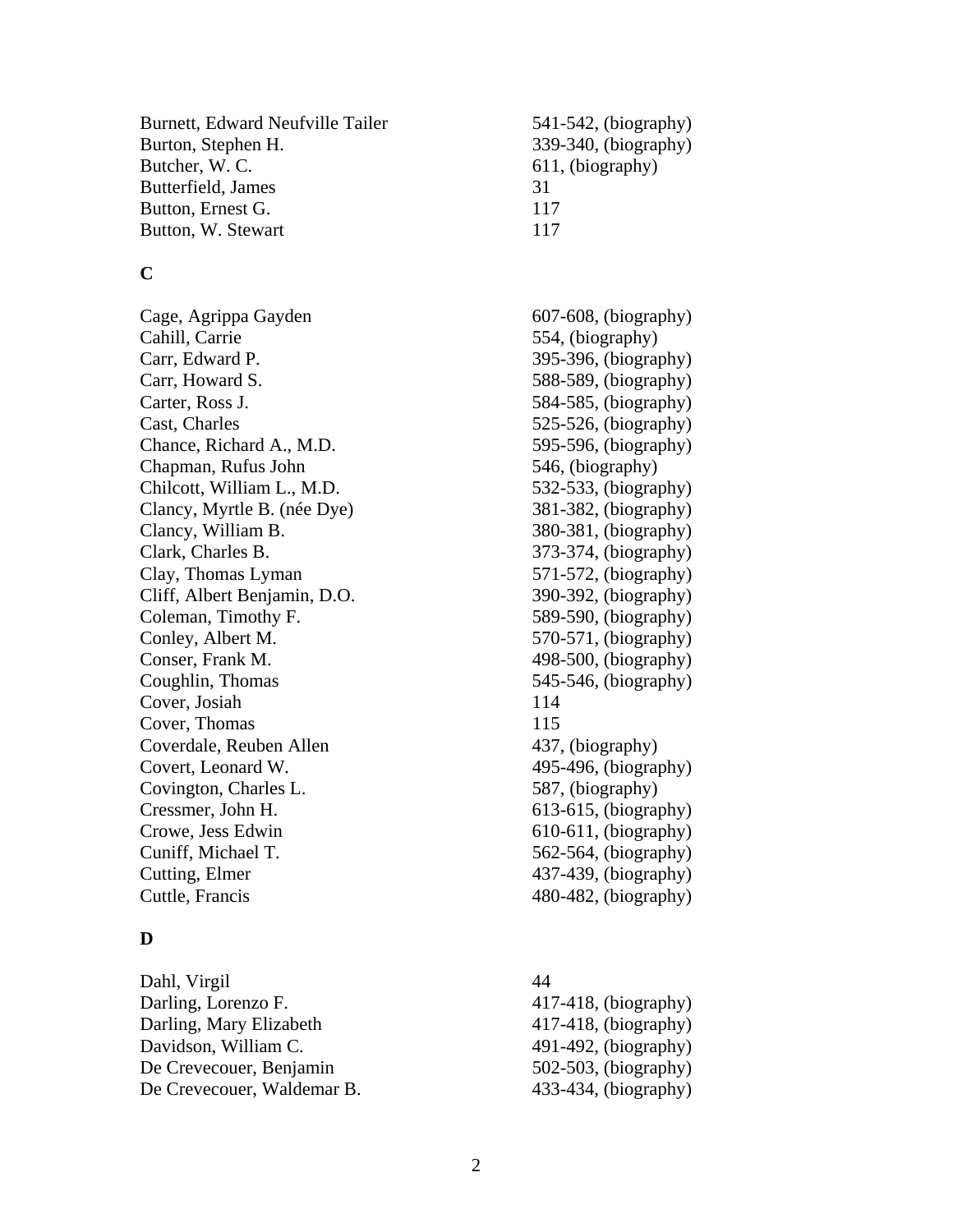Burnett, Edward Neufville Tailer 541-542, (biography) Burton, Stephen H. 339-340, (biography) Butcher, W. C. 611, (biography) Butterfield, James 31 Button, Ernest G. 117 Button, W. Stewart 117

### **C**

Cage, Agrippa Gayden 607-608, (biography) Cahill, Carrie 554, (biography) Carr, Edward P. 395-396, (biography) Carr, Howard S. 588-589, (biography) Carter, Ross J. 584-585, (biography) Cast, Charles 525-526, (biography) Chance, Richard A., M.D. 595-596, (biography) Chapman, Rufus John 546, (biography) Chilcott, William L., M.D. 532-533, (biography) Clancy, Myrtle B. (née Dye) 381-382, (biography) Clancy, William B. 380-381, (biography) Clark, Charles B. 373-374, (biography) Clay, Thomas Lyman 571-572, (biography) Cliff, Albert Benjamin, D.O. 390-392, (biography) Coleman, Timothy F. 589-590, (biography) Conley, Albert M. 570-571, (biography) Conser, Frank M. 498-500, (biography) Coughlin, Thomas 545-546, (biography) Cover, Josiah 114 Cover, Thomas 115 Coverdale, Reuben Allen 437, (biography) Covert, Leonard W. 495-496, (biography) Covington, Charles L. 587, (biography) Cressmer, John H. 613-615, (biography) Crowe, Jess Edwin 610-611, (biography) Cuniff, Michael T. 562-564, (biography) Cutting, Elmer 437-439, (biography) Cuttle, Francis 480-482, (biography)

### **D**

Dahl, Virgil 44 Darling, Lorenzo F. 417-418, (biography) Darling, Mary Elizabeth 417-418, (biography) Davidson, William C. 491-492, (biography) De Crevecouer, Benjamin 502-503, (biography) De Crevecouer, Waldemar B. 433-434, (biography)

2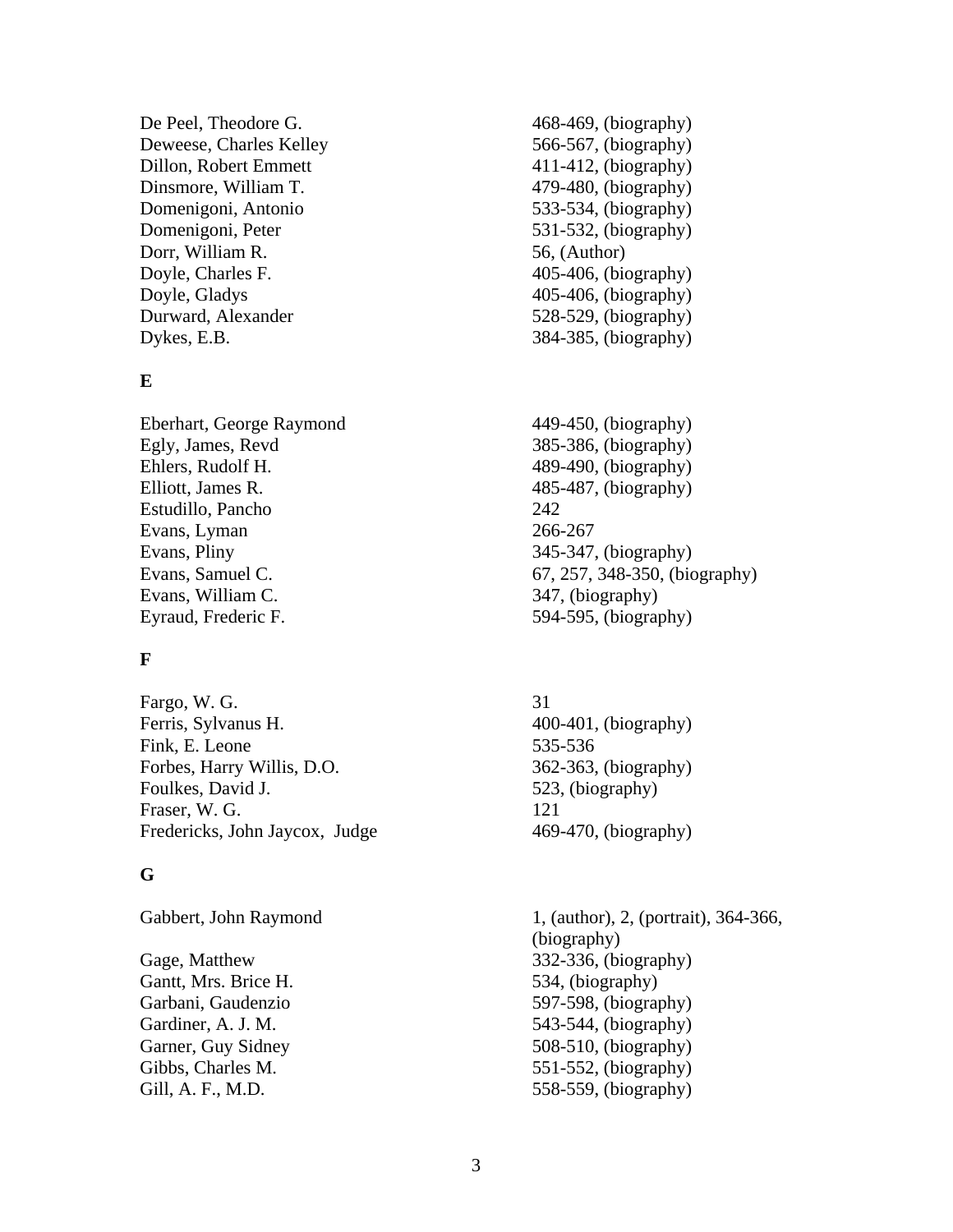De Peel, Theodore G. 468-469, (biography) Deweese, Charles Kelley 566-567, (biography) Dillon, Robert Emmett 411-412, (biography) Dinsmore, William T. 479-480, (biography) Domenigoni, Antonio 533-534, (biography) Domenigoni, Peter 531-532, (biography) Dorr, William R. 56, (Author) Doyle, Charles F. 405-406, (biography) Doyle, Gladys 405-406, (biography) Durward, Alexander 528-529, (biography) Dykes, E.B.  $384-385$ , (biography)

#### **E**

Eberhart, George Raymond 449-450, (biography) Egly, James, Revd 385-386, (biography) Ehlers, Rudolf H. 489-490, (biography) Elliott, James R. 485-487, (biography) Estudillo, Pancho 242 Evans, Lyman 266-267 Evans, Pliny 345-347, (biography) Evans, William C. 347, (biography) Eyraud, Frederic F. 594-595, (biography)

# **F**

Fargo, W. G. 31 Ferris, Sylvanus H. 400-401, (biography) Fink, E. Leone 535-536 Forbes, Harry Willis, D.O. 362-363, (biography) Foulkes, David J. 523, (biography) Fraser, W. G. 121 Fredericks, John Jaycox, Judge 469-470, (biography)

### **G**

Gantt, Mrs. Brice H. 534, (biography)

- 
- Evans, Samuel C. 67, 257, 348-350, (biography)
	-
- Gabbert, John Raymond 1, (author), 2, (portrait), 364-366, (biography) Gage, Matthew 332-336, (biography) Garbani, Gaudenzio 597-598, (biography) Gardiner, A. J. M. 543-544, (biography) Garner, Guy Sidney 508-510, (biography) Gibbs, Charles M. 551-552, (biography) Gill, A. F., M.D. 558-559, (biography)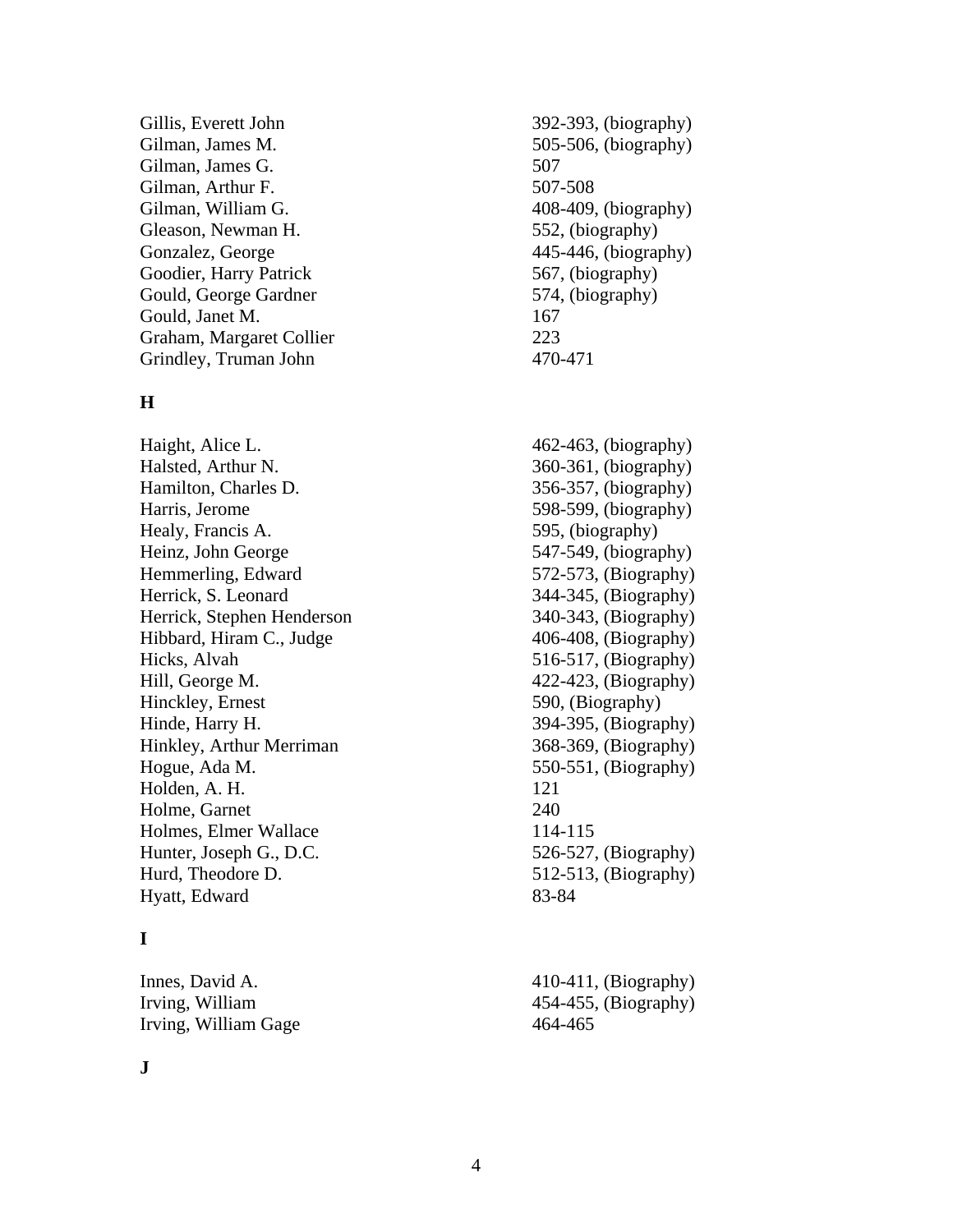Gillis, Everett John 392-393, (biography) Gilman, James M. 505-506, (biography) Gilman, James G. 507 Gilman, Arthur F. 507-508 Gilman, William G. 408-409, (biography) Gleason, Newman H. 552, (biography) Gonzalez, George 445-446, (biography) Goodier, Harry Patrick 567, (biography) Gould, George Gardner 574, (biography) Gould, Janet M. 167 Graham, Margaret Collier 223 Grindley, Truman John 470-471

### **H**

Haight, Alice L. 462-463, (biography) Halsted, Arthur N. 360-361, (biography) Hamilton, Charles D. 356-357, (biography) Harris, Jerome 598-599, (biography) Healy, Francis A. 595, (biography) Heinz, John George 547-549, (biography) Hemmerling, Edward 572-573, (Biography) Herrick, S. Leonard 344-345, (Biography) Herrick, Stephen Henderson 340-343, (Biography) Hibbard, Hiram C., Judge 406-408, (Biography) Hicks, Alvah 516-517, (Biography) Hill, George M. 422-423, (Biography) Hinckley, Ernest 590, (Biography) Hinde, Harry H. 394-395, (Biography) Hinkley, Arthur Merriman 368-369, (Biography) Hogue, Ada M. 550-551, (Biography) Holden, A. H. 121 Holme, Garnet 240 Holmes, Elmer Wallace 114-115 Hunter, Joseph G., D.C. 526-527, (Biography) Hurd, Theodore D. 512-513, (Biography) Hyatt, Edward 83-84

# **I**

Irving, William Gage 464-465

Innes, David A. 410-411, (Biography) Irving, William 454-455, (Biography)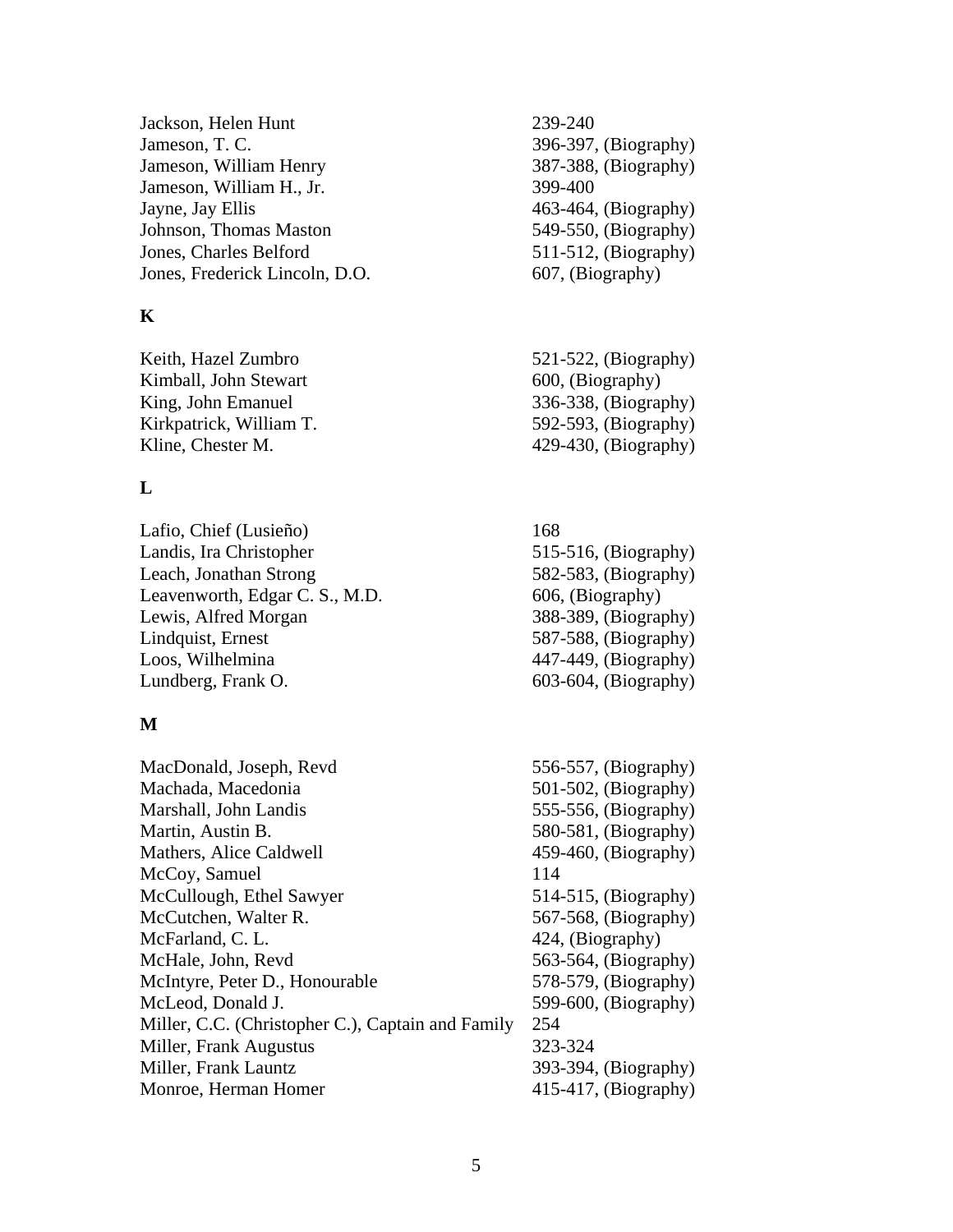Jackson, Helen Hunt 239-240 Jameson, T. C. 396-397, (Biography) Jameson, William Henry 387-388, (Biography) Jameson, William H., Jr. 399-400 Jayne, Jay Ellis 463-464, (Biography) Johnson, Thomas Maston 549-550, (Biography) Jones, Charles Belford 511-512, (Biography) Jones, Frederick Lincoln, D.O. 607, (Biography)

# **K**

Keith, Hazel Zumbro 521-522, (Biography) Kimball, John Stewart 600, (Biography) King, John Emanuel 336-338, (Biography) Kirkpatrick, William T. 592-593, (Biography) Kline, Chester M. 429-430, (Biography)

# **L**

Lafio, Chief (Lusieño) 168 Landis, Ira Christopher 515-516, (Biography) Leach, Jonathan Strong 582-583, (Biography) Leavenworth, Edgar C. S., M.D. 606, (Biography) Lewis, Alfred Morgan 388-389, (Biography) Lindquist, Ernest 587-588, (Biography) Loos, Wilhelmina  $\frac{447-449}{8}$ Lundberg, Frank O. 603-604, (Biography)

# **M**

MacDonald, Joseph, Revd 556-557, (Biography) Machada, Macedonia 501-502, (Biography) Marshall, John Landis 555-556, (Biography) Martin, Austin B. 580-581, (Biography) Mathers, Alice Caldwell 459-460, (Biography) McCoy, Samuel 114 McCullough, Ethel Sawyer 514-515, (Biography) McCutchen, Walter R. 567-568, (Biography) McFarland, C. L. 424, (Biography) McHale, John, Revd 563-564, (Biography) McIntyre, Peter D., Honourable 578-579, (Biography) McLeod, Donald J. 599-600, (Biography) Miller, C.C. (Christopher C.), Captain and Family 254 Miller, Frank Augustus 323-324 Miller, Frank Launtz 393-394, (Biography) Monroe, Herman Homer 415-417, (Biography)

- 
- 
- 

5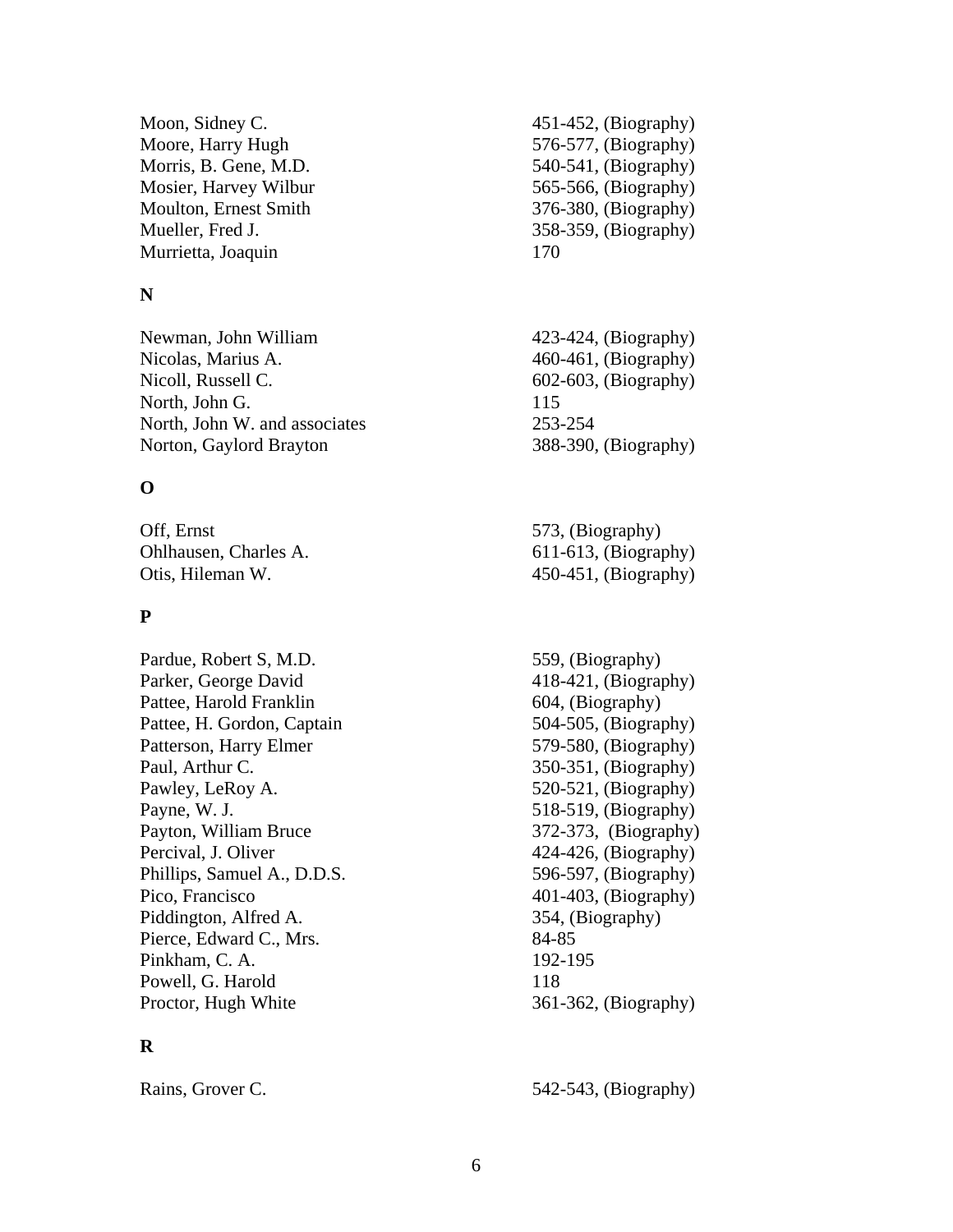Moon, Sidney C. 451-452, (Biography) Moore, Harry Hugh 576-577, (Biography) Morris, B. Gene, M.D. 540-541, (Biography) Mosier, Harvey Wilbur 565-566, (Biography) Moulton, Ernest Smith 376-380, (Biography) Mueller, Fred J. 358-359, (Biography) Murrietta, Joaquin 170

### **N**

Newman, John William 423-424, (Biography) Nicolas, Marius A. 460-461, (Biography) Nicoll, Russell C. 602-603, (Biography) North, John G. 115 North, John W. and associates 253-254 Norton, Gaylord Brayton 388-390, (Biography)

# **O**

Off, Ernst 573, (Biography) Ohlhausen, Charles A. 611-613, (Biography) Otis, Hileman W. 450-451, (Biography)

# **P**

Pardue, Robert S, M.D. 559, (Biography) Parker, George David 418-421, (Biography) Pattee, Harold Franklin 604, (Biography) Pattee, H. Gordon, Captain 504-505, (Biography) Patterson, Harry Elmer 579-580, (Biography) Paul, Arthur C. 350-351, (Biography) Pawley, LeRoy A. 520-521, (Biography) Payne, W. J. 518-519, (Biography) Payton, William Bruce 372-373, (Biography) Percival, J. Oliver 424-426, (Biography) Phillips, Samuel A., D.D.S. 596-597, (Biography) Pico, Francisco 401-403, (Biography) Piddington, Alfred A. 354, (Biography) Pierce, Edward C., Mrs. 84-85 Pinkham, C. A. 192-195 Powell, G. Harold 118 Proctor, Hugh White  $361-362$ , (Biography)

# **R**

Rains, Grover C. 542-543, (Biography)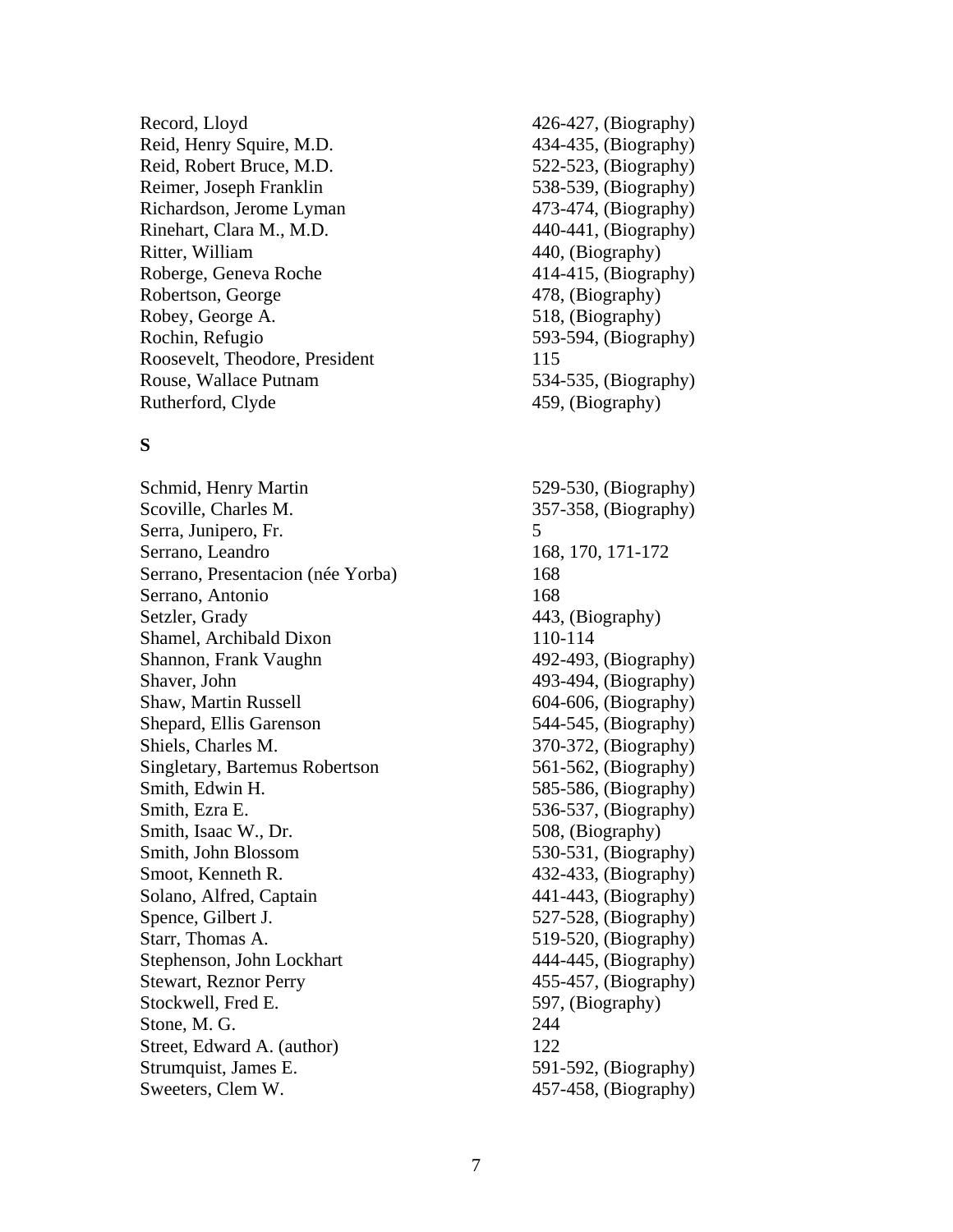Record, Lloyd 426-427, (Biography) Reid, Henry Squire, M.D. 434-435, (Biography) Reid, Robert Bruce, M.D. 522-523, (Biography) Reimer, Joseph Franklin 538-539, (Biography) Richardson, Jerome Lyman 473-474, (Biography) Rinehart, Clara M., M.D. 440-441, (Biography) Ritter, William 440, (Biography) Roberge, Geneva Roche 414-415, (Biography) Robertson, George 478, (Biography) Robey, George A. 518, (Biography) Rochin, Refugio 593-594, (Biography) Roosevelt, Theodore, President 115 Rouse, Wallace Putnam 534-535, (Biography) Rutherford, Clyde 459, (Biography)

### **S**

Schmid, Henry Martin 529-530, (Biography) Scoville, Charles M. 357-358, (Biography) Serra, Junipero, Fr. 5 Serrano, Leandro 168, 170, 171-172 Serrano, Presentacion (née Yorba) 168 Serrano, Antonio 168 Setzler, Grady 443, (Biography) Shamel, Archibald Dixon 110-114 Shannon, Frank Vaughn 492-493, (Biography) Shaver, John 493-494, (Biography) Shaw, Martin Russell 604-606, (Biography) Shepard, Ellis Garenson 544-545, (Biography) Shiels, Charles M. 370-372, (Biography) Singletary, Bartemus Robertson 561-562, (Biography) Smith, Edwin H. 585-586, (Biography) Smith, Ezra E. 536-537, (Biography) Smith, Isaac W., Dr. 508, (Biography) Smith, John Blossom 530-531, (Biography) Smoot, Kenneth R. 432-433, (Biography) Solano, Alfred, Captain 441-443, (Biography) Spence, Gilbert J. 527-528, (Biography) Starr, Thomas A. 519-520, (Biography) Stephenson, John Lockhart 444-445, (Biography) Stewart, Reznor Perry 455-457, (Biography) Stockwell, Fred E. 597, (Biography) Stone, M. G. 244 Street, Edward A. (author) 122 Strumquist, James E. 591-592, (Biography) Sweeters, Clem W. 457-458, (Biography)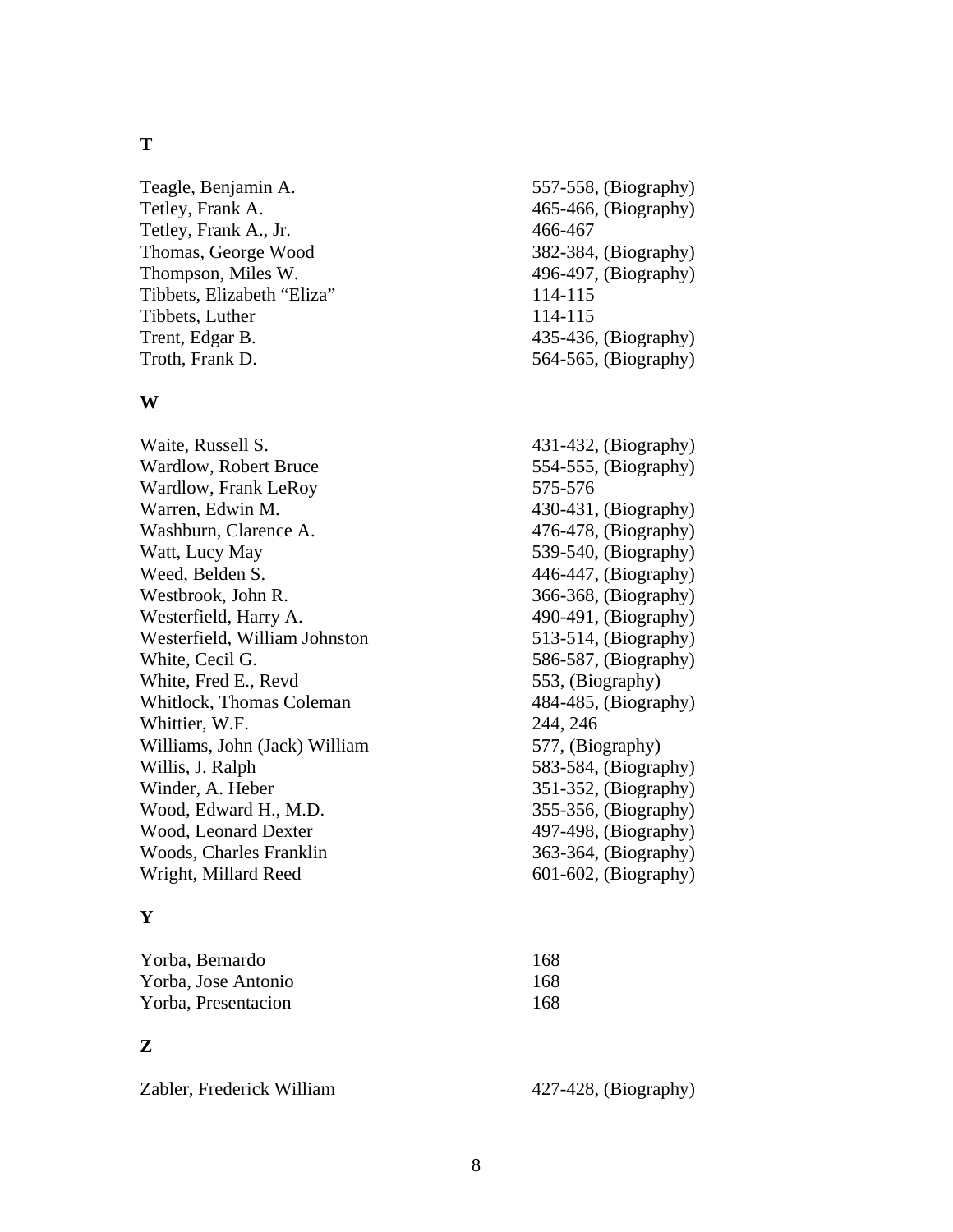#### **T**

Tetley, Frank A.  $465-466$ , (Biography) Tetley, Frank A., Jr. 466-467 Thomas, George Wood 382-384, (Biography) Thompson, Miles W. 496-497, (Biography) Tibbets, Elizabeth "Eliza" 114-115 Tibbets, Luther 114-115 Trent, Edgar B. 435-436, (Biography) Troth, Frank D. 564-565, (Biography)

#### **W**

Waite, Russell S. 431-432, (Biography) Wardlow, Robert Bruce 554-555, (Biography) Wardlow, Frank LeRoy 575-576 Warren, Edwin M. 430-431, (Biography) Washburn, Clarence A. 476-478, (Biography) Watt, Lucy May 539-540, (Biography) Weed, Belden S. 446-447, (Biography) Westbrook, John R. 366-368, (Biography) Westerfield, Harry A. 490-491, (Biography) Westerfield, William Johnston 513-514, (Biography) White, Cecil G. 586-587, (Biography) White, Fred E., Revd 553, (Biography) Whitlock, Thomas Coleman 484-485, (Biography) Whittier, W.F. 244, 246 Williams, John (Jack) William 577, (Biography) Willis, J. Ralph 583-584, (Biography) Winder, A. Heber 351-352, (Biography) Wood, Edward H., M.D. 355-356, (Biography) Wood, Leonard Dexter 497-498, (Biography) Woods, Charles Franklin 363-364, (Biography) Wright, Millard Reed 601-602, (Biography)

### **Y**

| Yorba, Bernardo     | 168 |
|---------------------|-----|
| Yorba, Jose Antonio | 168 |
| Yorba, Presentacion | 168 |

### **Z**

Zabler, Frederick William 427-428, (Biography)

- Teagle, Benjamin A. 557-558, (Biography)
	-